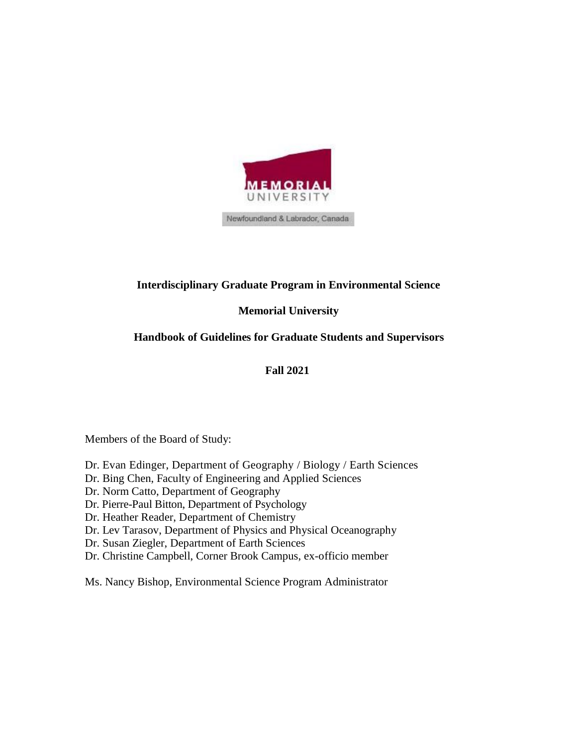

# **Interdisciplinary Graduate Program in Environmental Science**

# **Memorial University**

# **Handbook of Guidelines for Graduate Students and Supervisors**

## **Fall 2021**

Members of the Board of Study:

- Dr. Evan Edinger, Department of Geography / Biology / Earth Sciences
- Dr. Bing Chen, Faculty of Engineering and Applied Sciences
- Dr. Norm Catto, Department of Geography
- Dr. Pierre-Paul Bitton, Department of Psychology
- Dr. Heather Reader, Department of Chemistry
- Dr. Lev Tarasov, Department of Physics and Physical Oceanography
- Dr. Susan Ziegler, Department of Earth Sciences
- Dr. Christine Campbell, Corner Brook Campus, ex-officio member

Ms. Nancy Bishop, Environmental Science Program Administrator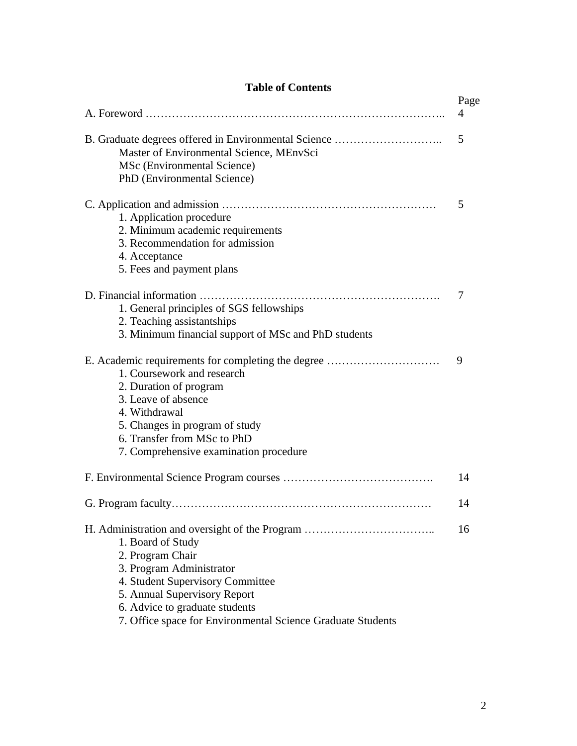|  | <b>Table of Contents</b> |
|--|--------------------------|
|--|--------------------------|

|                                                                                                                                                                                                                                                               | Page |
|---------------------------------------------------------------------------------------------------------------------------------------------------------------------------------------------------------------------------------------------------------------|------|
|                                                                                                                                                                                                                                                               | 4    |
| B. Graduate degrees offered in Environmental Science<br>Master of Environmental Science, MEnvSci<br>MSc (Environmental Science)<br>PhD (Environmental Science)                                                                                                | 5    |
| 1. Application procedure<br>2. Minimum academic requirements<br>3. Recommendation for admission<br>4. Acceptance<br>5. Fees and payment plans                                                                                                                 | 5    |
| 1. General principles of SGS fellowships<br>2. Teaching assistantships<br>3. Minimum financial support of MSc and PhD students                                                                                                                                | 7    |
| E. Academic requirements for completing the degree<br>1. Coursework and research<br>2. Duration of program<br>3. Leave of absence<br>4. Withdrawal<br>5. Changes in program of study<br>6. Transfer from MSc to PhD<br>7. Comprehensive examination procedure | 9    |
|                                                                                                                                                                                                                                                               | 14   |
|                                                                                                                                                                                                                                                               | 14   |
| 1. Board of Study<br>2. Program Chair<br>3. Program Administrator<br>4. Student Supervisory Committee<br>5. Annual Supervisory Report<br>6. Advice to graduate students<br>7. Office space for Environmental Science Graduate Students                        | 16   |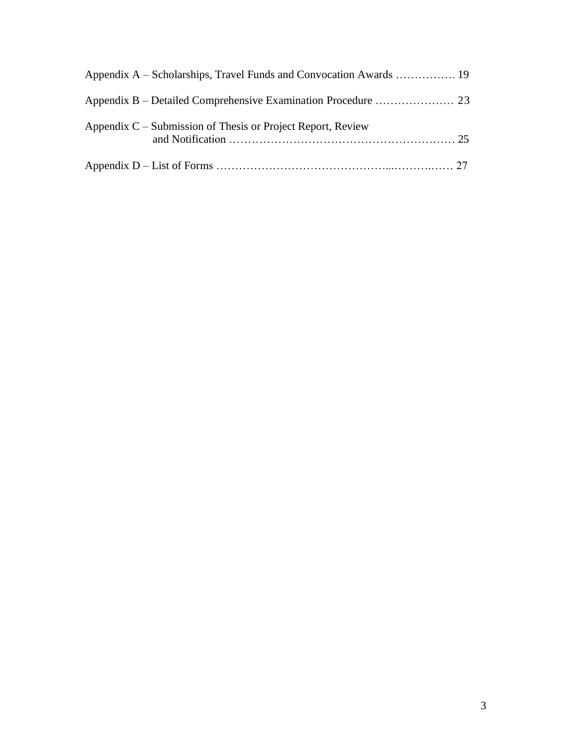| Appendix A – Scholarships, Travel Funds and Convocation Awards  19 |  |
|--------------------------------------------------------------------|--|
|                                                                    |  |
| Appendix C – Submission of Thesis or Project Report, Review        |  |
|                                                                    |  |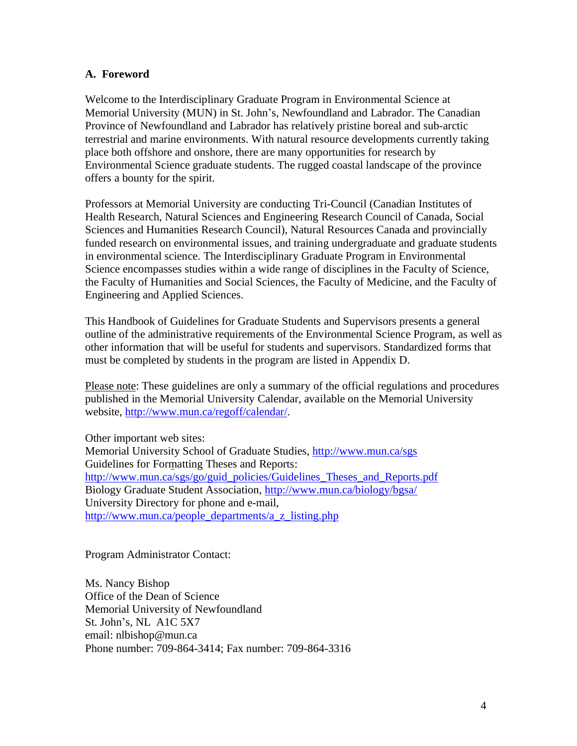### **A. Foreword**

Welcome to the Interdisciplinary Graduate Program in Environmental Science at Memorial University (MUN) in St. John's, Newfoundland and Labrador. The Canadian Province of Newfoundland and Labrador has relatively pristine boreal and sub-arctic terrestrial and marine environments. With natural resource developments currently taking place both offshore and onshore, there are many opportunities for research by Environmental Science graduate students. The rugged coastal landscape of the province offers a bounty for the spirit.

Professors at Memorial University are conducting Tri-Council (Canadian Institutes of Health Research, Natural Sciences and Engineering Research Council of Canada, Social Sciences and Humanities Research Council), Natural Resources Canada and provincially funded research on environmental issues, and training undergraduate and graduate students in environmental science. The Interdisciplinary Graduate Program in Environmental Science encompasses studies within a wide range of disciplines in the Faculty of Science, the Faculty of Humanities and Social Sciences, the Faculty of Medicine, and the Faculty of Engineering and Applied Sciences.

This Handbook of Guidelines for Graduate Students and Supervisors presents a general outline of the administrative requirements of the Environmental Science Program, as well as other information that will be useful for students and supervisors. Standardized forms that must be completed by students in the program are listed in Appendix D.

Please note: These guidelines are only a summary of the official regulations and procedures published in the Memorial University Calendar, available on the Memorial University website, [http://www.mun.ca/regoff/calendar/.](http://www.mun.ca/regoff/calendar/)

Other important web sites: Memorial University School of Graduate Studies,<http://www.mun.ca/sgs> Guidelines for Formatting Theses and Reports: [http://www.mun.ca/sgs/go/guid\\_policies/Guidelines\\_Theses\\_and\\_Reports.pdf](http://www.mun.ca/sgs/go/guid_policies/Guidelines_Theses_and_Reports.pdf) Biology Graduate Student Association,<http://www.mun.ca/biology/bgsa/> University Directory for phone and e-mail, [http://www.mun.ca/people\\_departments/a\\_z\\_listing.php](http://www.mun.ca/people_departments/a_z_listing.php)

Program Administrator Contact:

Ms. Nancy Bishop Office of the Dean of Science Memorial University of Newfoundland St. John's, NL A1C 5X7 em[ail: nlbishop@mun.ca](mailto:gkenny@mun.ca) Phone number: 709-864-3414; Fax number: 709-864-3316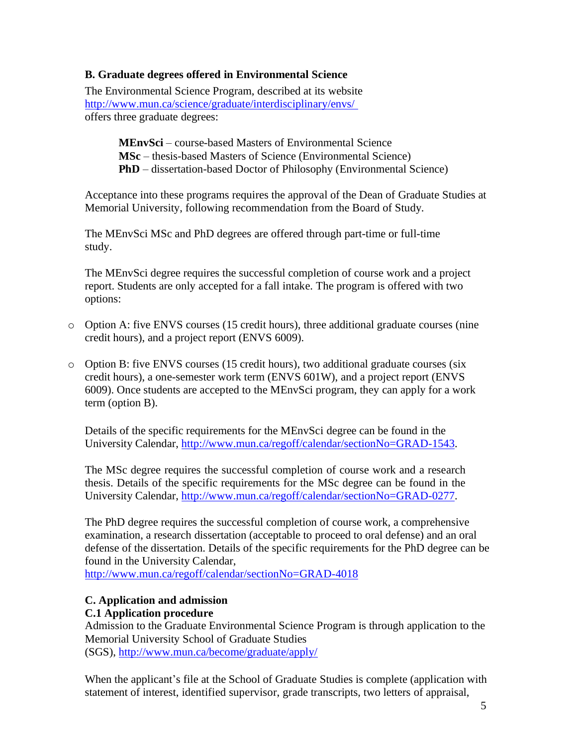### **B. Graduate degrees offered in Environmental Science**

The Environmental Science Program, described at its website <http://www.mun.ca/science/graduate/interdisciplinary/envs/> offers three graduate degrees:

> **MEnvSci** – course-based Masters of Environmental Science **MSc** – thesis-based Masters of Science (Environmental Science) **PhD** – dissertation-based Doctor of Philosophy (Environmental Science)

Acceptance into these programs requires the approval of the Dean of Graduate Studies at Memorial University, following recommendation from the Board of Study.

The MEnvSci MSc and PhD degrees are offered through part-time or full-time study.

The MEnvSci degree requires the successful completion of course work and a project report. Students are only accepted for a fall intake. The program is offered with two options:

- $\circ$  Option A: five ENVS courses (15 credit hours), three additional graduate courses (nine credit hours), and a project report (ENVS 6009).
- o Option B: five ENVS courses (15 credit hours), two additional graduate courses (six credit hours), a one-semester work term (ENVS 601W), and a project report (ENVS 6009). Once students are accepted to the MEnvSci program, they can apply for a work term (option B).

Details of the specific requirements for the MEnvSci degree can be found in the University Calendar, [http://www.mun.ca/regoff/calendar/sectionNo=GRAD-1543.](http://www.mun.ca/regoff/calendar/sectionNo%3DGRAD-1543)

The MSc degree requires the successful completion of course work and a research thesis. Details of the specific requirements for the MSc degree can be found in the University Calendar, [http://www.mun.ca/regoff/calendar/sectionNo=GRAD-0277.](http://www.mun.ca/regoff/calendar/sectionNo%3DGRAD-0277)

The PhD degree requires the successful completion of course work, a comprehensive examination, a research dissertation (acceptable to proceed to oral defense) and an oral defense of the dissertation. Details of the specific requirements for the PhD degree can be found in the University Calendar,

[http://www.mun.ca/regoff/calendar/sectionNo=GRAD-4018](http://www.mun.ca/regoff/calendar/sectionNo%3DGRAD-4018)

#### **C. Application and admission C.1 Application procedure**

Admission to the Graduate Environmental Science Program is through application to the Memorial University School of Graduate Studies (SGS),<http://www.mun.ca/become/graduate/apply/>

When the applicant's file at the School of Graduate Studies is complete (application with statement of interest, identified supervisor, grade transcripts, two letters of appraisal,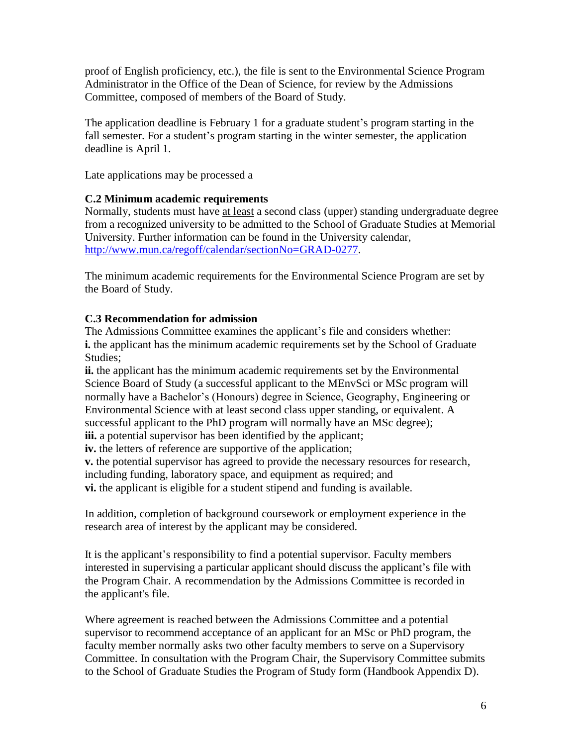proof of English proficiency, etc.), the file is sent to the Environmental Science Program Administrator in the Office of the Dean of Science, for review by the Admissions Committee, composed of members of the Board of Study.

The application deadline is February 1 for a graduate student's program starting in the fall semester. For a student's program starting in the winter semester, the application deadline is April 1.

Late applications may be processed a

#### **C.2 Minimum academic requirements**

Normally, students must have at least a second class (upper) standing undergraduate degree from a recognized university to be admitted to the School of Graduate Studies at Memorial University. Further information can be found in the University calendar, [http://www.mun.ca/regoff/calendar/sectionNo=GRAD-0277.](http://www.mun.ca/regoff/calendar/sectionNo=GRAD-0277)

The minimum academic requirements for the Environmental Science Program are set by the Board of Study.

### **C.3 Recommendation for admission**

The Admissions Committee examines the applicant's file and considers whether: **i.** the applicant has the minimum academic requirements set by the School of Graduate Studies;

**ii.** the applicant has the minimum academic requirements set by the Environmental Science Board of Study (a successful applicant to the MEnvSci or MSc program will normally have a Bachelor's (Honours) degree in Science, Geography, Engineering or Environmental Science with at least second class upper standing, or equivalent. A successful applicant to the PhD program will normally have an MSc degree);

**iii.** a potential supervisor has been identified by the applicant;

**iv.** the letters of reference are supportive of the application;

**v.** the potential supervisor has agreed to provide the necessary resources for research, including funding, laboratory space, and equipment as required; and **vi.** the applicant is eligible for a student stipend and funding is available.

In addition, completion of background coursework or employment experience in the research area of interest by the applicant may be considered.

It is the applicant's responsibility to find a potential supervisor. Faculty members interested in supervising a particular applicant should discuss the applicant's file with the Program Chair. A recommendation by the Admissions Committee is recorded in the applicant's file.

Where agreement is reached between the Admissions Committee and a potential supervisor to recommend acceptance of an applicant for an MSc or PhD program, the faculty member normally asks two other faculty members to serve on a Supervisory Committee. In consultation with the Program Chair, the Supervisory Committee submits to the School of Graduate Studies the Program of Study form (Handbook Appendix D).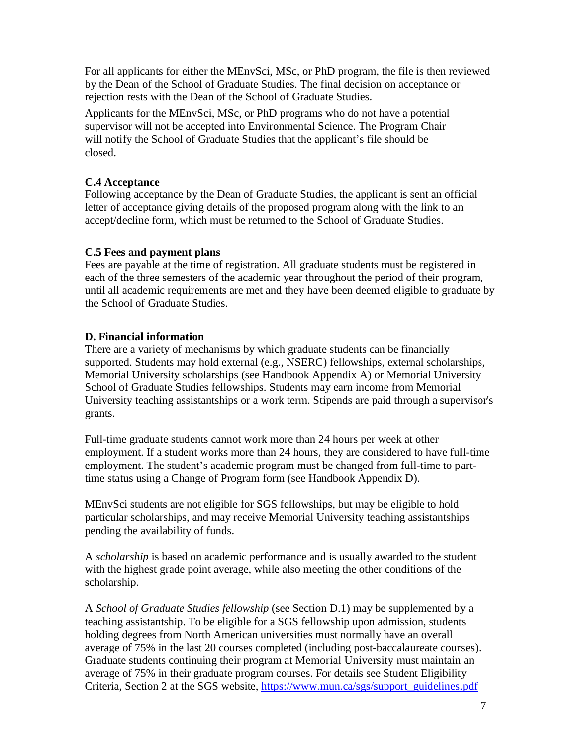For all applicants for either the MEnvSci, MSc, or PhD program, the file is then reviewed by the Dean of the School of Graduate Studies. The final decision on acceptance or rejection rests with the Dean of the School of Graduate Studies.

Applicants for the MEnvSci, MSc, or PhD programs who do not have a potential supervisor will not be accepted into Environmental Science. The Program Chair will notify the School of Graduate Studies that the applicant's file should be closed.

## **C.4 Acceptance**

Following acceptance by the Dean of Graduate Studies, the applicant is sent an official letter of acceptance giving details of the proposed program along with the link to an accept/decline form, which must be returned to the School of Graduate Studies.

## **C.5 Fees and payment plans**

Fees are payable at the time of registration. All graduate students must be registered in each of the three semesters of the academic year throughout the period of their program, until all academic requirements are met and they have been deemed eligible to graduate by the School of Graduate Studies.

## **D. Financial information**

There are a variety of mechanisms by which graduate students can be financially supported. Students may hold external (e.g., NSERC) fellowships, external scholarships, Memorial University scholarships (see Handbook Appendix A) or Memorial University School of Graduate Studies fellowships. Students may earn income from Memorial University teaching assistantships or a work term. Stipends are paid through a supervisor's grants.

Full-time graduate students cannot work more than 24 hours per week at other employment. If a student works more than 24 hours, they are considered to have full-time employment. The student's academic program must be changed from full-time to parttime status using a Change of Program form (see Handbook Appendix D).

MEnvSci students are not eligible for SGS fellowships, but may be eligible to hold particular scholarships, and may receive Memorial University teaching assistantships pending the availability of funds.

A *scholarship* is based on academic performance and is usually awarded to the student with the highest grade point average, while also meeting the other conditions of the scholarship.

A *School of Graduate Studies fellowship* (see Section D.1) may be supplemented by a teaching assistantship. To be eligible for a SGS fellowship upon admission, students holding degrees from North American universities must normally have an overall average of 75% in the last 20 courses completed (including post-baccalaureate courses). Graduate students continuing their program at Memorial University must maintain an average of 75% in their graduate program courses. For details see Student Eligibility Criteria, Section 2 at the SGS website, [https://www.mun.ca/sgs/support\\_guidelines.pdf](https://www.mun.ca/sgs/support_guidelines.pdf)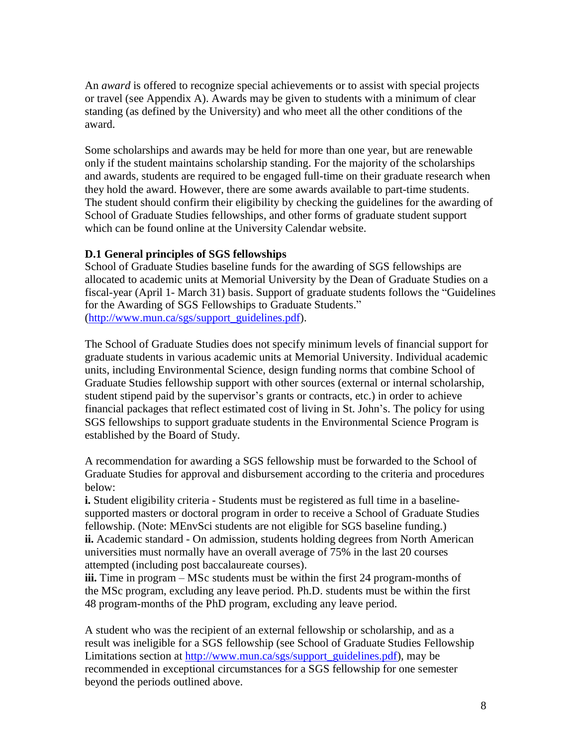An *award* is offered to recognize special achievements or to assist with special projects or travel (see Appendix A). Awards may be given to students with a minimum of clear standing (as defined by the University) and who meet all the other conditions of the award.

Some scholarships and awards may be held for more than one year, but are renewable only if the student maintains scholarship standing. For the majority of the scholarships and awards, students are required to be engaged full-time on their graduate research when they hold the award. However, there are some awards available to part-time students. The student should confirm their eligibility by checking the guidelines for the awarding of School of Graduate Studies fellowships, and other forms of graduate student support which can be found online at the University Calendar website.

### **D.1 General principles of SGS fellowships**

School of Graduate Studies baseline funds for the awarding of SGS fellowships are allocated to academic units at Memorial University by the Dean of Graduate Studies on a fiscal-year (April 1- March 31) basis. Support of graduate students follows the "Guidelines for the Awarding of SGS Fellowships to Graduate Students." [\(http://www.mun.ca/sgs/support\\_guidelines.pdf\)](http://www.mun.ca/sgs/support_guidelines.pdf).

The School of Graduate Studies does not specify minimum levels of financial support for graduate students in various academic units at Memorial University. Individual academic units, including Environmental Science, design funding norms that combine School of Graduate Studies fellowship support with other sources (external or internal scholarship, student stipend paid by the supervisor's grants or contracts, etc.) in order to achieve financial packages that reflect estimated cost of living in St. John's. The policy for using SGS fellowships to support graduate students in the Environmental Science Program is established by the Board of Study.

A recommendation for awarding a SGS fellowship must be forwarded to the School of Graduate Studies for approval and disbursement according to the criteria and procedures below:

**i.** Student eligibility criteria - Students must be registered as full time in a baselinesupported masters or doctoral program in order to receive a School of Graduate Studies fellowship. (Note: MEnvSci students are not eligible for SGS baseline funding.) **ii.** Academic standard - On admission, students holding degrees from North American universities must normally have an overall average of 75% in the last 20 courses attempted (including post baccalaureate courses).

**iii.** Time in program – MSc students must be within the first 24 program-months of the MSc program, excluding any leave period. Ph.D. students must be within the first 48 program-months of the PhD program, excluding any leave period.

A student who was the recipient of an external fellowship or scholarship, and as a result was ineligible for a SGS fellowship (see School of Graduate Studies Fellowship Limitations section at [http://www.mun.ca/sgs/support\\_guidelines.pdf\)](http://www.mun.ca/sgs/support_guidelines.pdf), may be recommended in exceptional circumstances for a SGS fellowship for one semester beyond the periods outlined above.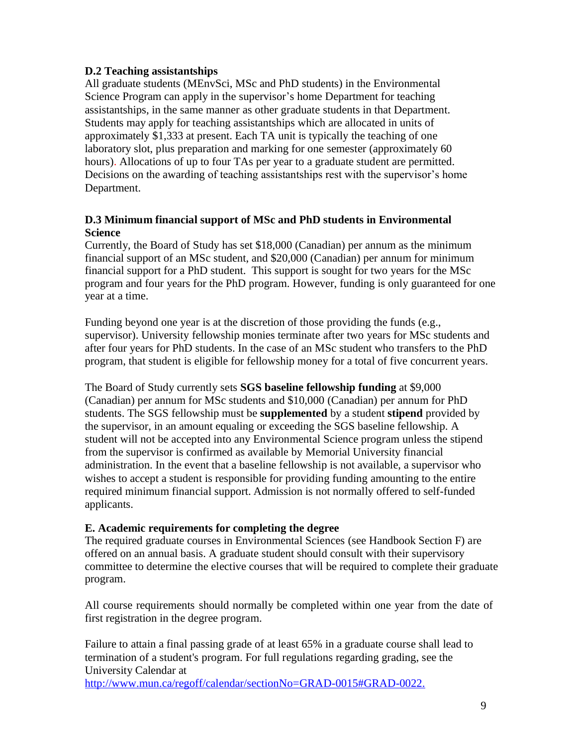### **D.2 Teaching assistantships**

All graduate students (MEnvSci, MSc and PhD students) in the Environmental Science Program can apply in the supervisor's home Department for teaching assistantships, in the same manner as other graduate students in that Department. Students may apply for teaching assistantships which are allocated in units of approximately \$1,333 at present. Each TA unit is typically the teaching of one laboratory slot, plus preparation and marking for one semester (approximately 60 hours). Allocations of up to four TAs per year to a graduate student are permitted. Decisions on the awarding of teaching assistantships rest with the supervisor's home Department.

### **D.3 Minimum financial support of MSc and PhD students in Environmental Science**

Currently, the Board of Study has set \$18,000 (Canadian) per annum as the minimum financial support of an MSc student, and \$20,000 (Canadian) per annum for minimum financial support for a PhD student. This support is sought for two years for the MSc program and four years for the PhD program. However, funding is only guaranteed for one year at a time.

Funding beyond one year is at the discretion of those providing the funds (e.g., supervisor). University fellowship monies terminate after two years for MSc students and after four years for PhD students. In the case of an MSc student who transfers to the PhD program, that student is eligible for fellowship money for a total of five concurrent years.

The Board of Study currently sets **SGS baseline fellowship funding** at \$9,000 (Canadian) per annum for MSc students and \$10,000 (Canadian) per annum for PhD students. The SGS fellowship must be **supplemented** by a student **stipend** provided by the supervisor, in an amount equaling or exceeding the SGS baseline fellowship. A student will not be accepted into any Environmental Science program unless the stipend from the supervisor is confirmed as available by Memorial University financial administration. In the event that a baseline fellowship is not available, a supervisor who wishes to accept a student is responsible for providing funding amounting to the entire required minimum financial support. Admission is not normally offered to self-funded applicants.

#### **E. Academic requirements for completing the degree**

The required graduate courses in Environmental Sciences (see Handbook Section F) are offered on an annual basis. A graduate student should consult with their supervisory committee to determine the elective courses that will be required to complete their graduate program.

All course requirements should normally be completed within one year from the date of first registration in the degree program.

Failure to attain a final passing grade of at least 65% in a graduate course shall lead to termination of a student's program. For full regulations regarding grading, see the University Calendar at

[http://www.mun.ca/regoff/calendar/sectionNo=GRAD-0015#GRAD-0022.](https://www.mun.ca/regoff/calendar/sectionNo=GRAD-0022)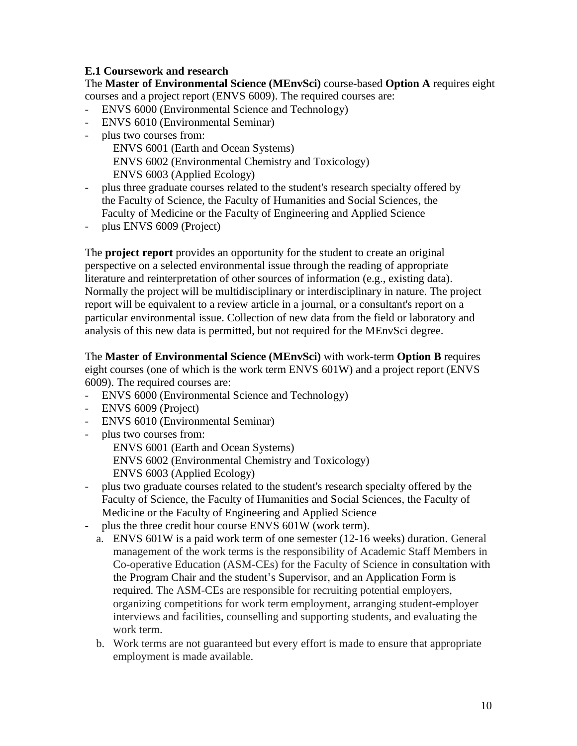## **E.1 Coursework and research**

The **Master of Environmental Science (MEnvSci)** course-based **Option A** requires eight courses and a project report (ENVS 6009). The required courses are:

- ENVS 6000 (Environmental Science and Technology)
- ENVS 6010 (Environmental Seminar)
- plus two courses from: ENVS 6001 (Earth and Ocean Systems) ENVS 6002 (Environmental Chemistry and Toxicology) ENVS 6003 (Applied Ecology)
- plus three graduate courses related to the student's research specialty offered by the Faculty of Science, the Faculty of Humanities and Social Sciences, the Faculty of Medicine or the Faculty of Engineering and Applied Science
- plus ENVS 6009 (Project)

The **project report** provides an opportunity for the student to create an original perspective on a selected environmental issue through the reading of appropriate literature and reinterpretation of other sources of information (e.g., existing data). Normally the project will be multidisciplinary or interdisciplinary in nature. The project report will be equivalent to a review article in a journal, or a consultant's report on a particular environmental issue. Collection of new data from the field or laboratory and analysis of this new data is permitted, but not required for the MEnvSci degree.

The **Master of Environmental Science (MEnvSci)** with work-term **Option B** requires eight courses (one of which is the work term ENVS 601W) and a project report (ENVS 6009). The required courses are:

- ENVS 6000 (Environmental Science and Technology)
- ENVS 6009 (Project)
- ENVS 6010 (Environmental Seminar)
- plus two courses from:

ENVS 6001 (Earth and Ocean Systems)

ENVS 6002 (Environmental Chemistry and Toxicology) ENVS 6003 (Applied Ecology)

- plus two graduate courses related to the student's research specialty offered by the Faculty of Science, the Faculty of Humanities and Social Sciences, the Faculty of Medicine or the Faculty of Engineering and Applied Science
- plus the three credit hour course ENVS 601W (work term).
	- a. ENVS 601W is a paid work term of one semester (12-16 weeks) duration. General management of the work terms is the responsibility of Academic Staff Members in Co-operative Education (ASM-CEs) for the Faculty of Science in consultation with the Program Chair and the student's Supervisor, and an Application Form is required. The ASM-CEs are responsible for recruiting potential employers, organizing competitions for work term employment, arranging student-employer interviews and facilities, counselling and supporting students, and evaluating the work term.
	- b. Work terms are not guaranteed but every effort is made to ensure that appropriate employment is made available.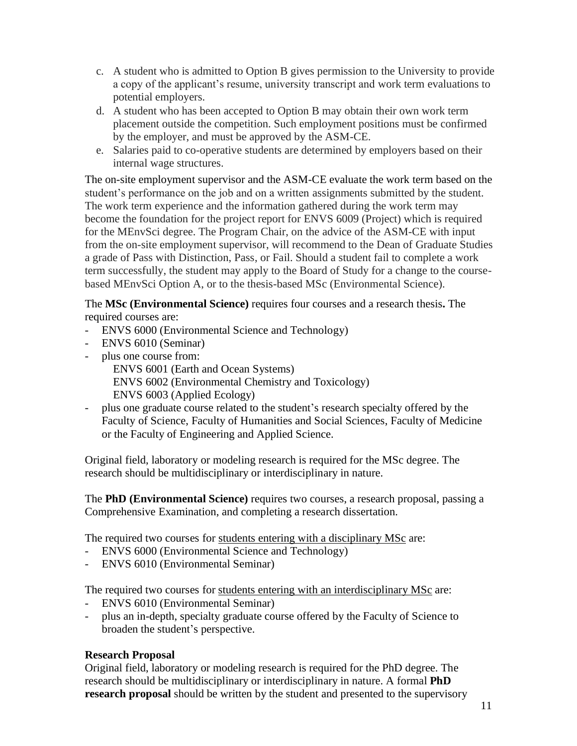- c. A student who is admitted to Option B gives permission to the University to provide a copy of the applicant's resume, university transcript and work term evaluations to potential employers.
- d. A student who has been accepted to Option B may obtain their own work term placement outside the competition. Such employment positions must be confirmed by the employer, and must be approved by the ASM-CE.
- e. Salaries paid to co-operative students are determined by employers based on their internal wage structures.

The on-site employment supervisor and the ASM-CE evaluate the work term based on the student's performance on the job and on a written assignments submitted by the student. The work term experience and the information gathered during the work term may become the foundation for the project report for ENVS 6009 (Project) which is required for the MEnvSci degree. The Program Chair, on the advice of the ASM-CE with input from the on-site employment supervisor, will recommend to the Dean of Graduate Studies a grade of Pass with Distinction, Pass, or Fail. Should a student fail to complete a work term successfully, the student may apply to the Board of Study for a change to the coursebased MEnvSci Option A, or to the thesis-based MSc (Environmental Science).

The **MSc (Environmental Science)** requires four courses and a research thesis**.** The required courses are:

- ENVS 6000 (Environmental Science and Technology)
- ENVS 6010 (Seminar)
- plus one course from:

ENVS 6001 (Earth and Ocean Systems) ENVS 6002 (Environmental Chemistry and Toxicology) ENVS 6003 (Applied Ecology)

plus one graduate course related to the student's research specialty offered by the Faculty of Science, Faculty of Humanities and Social Sciences, Faculty of Medicine or the Faculty of Engineering and Applied Science.

Original field, laboratory or modeling research is required for the MSc degree. The research should be multidisciplinary or interdisciplinary in nature.

The **PhD (Environmental Science)** requires two courses, a research proposal, passing a Comprehensive Examination, and completing a research dissertation.

The required two courses for students entering with a disciplinary MSc are:

- ENVS 6000 (Environmental Science and Technology)
- ENVS 6010 (Environmental Seminar)

The required two courses for students entering with an interdisciplinary MSc are:

- ENVS 6010 (Environmental Seminar)
- plus an in-depth, specialty graduate course offered by the Faculty of Science to broaden the student's perspective.

### **Research Proposal**

Original field, laboratory or modeling research is required for the PhD degree. The research should be multidisciplinary or interdisciplinary in nature. A formal **PhD research proposal** should be written by the student and presented to the supervisory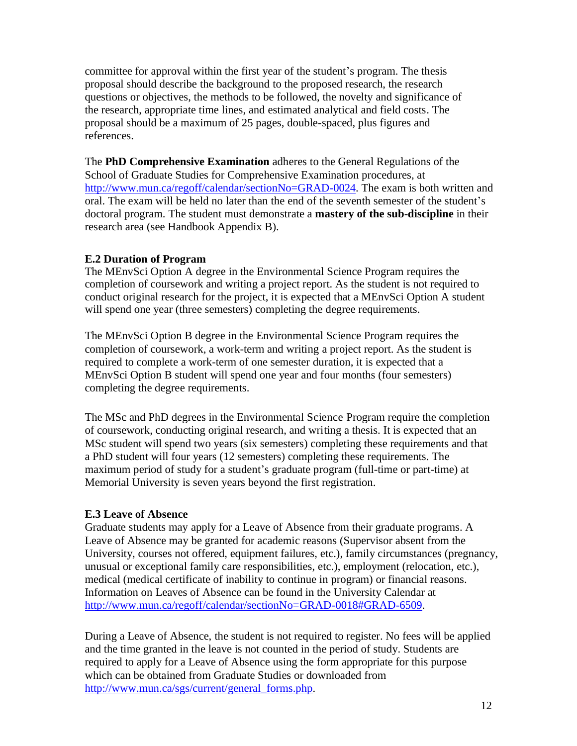committee for approval within the first year of the student's program. The thesis proposal should describe the background to the proposed research, the research questions or objectives, the methods to be followed, the novelty and significance of the research, appropriate time lines, and estimated analytical and field costs. The proposal should be a maximum of 25 pages, double-spaced, plus figures and references.

The **PhD Comprehensive Examination** adheres to the General Regulations of the School of Graduate Studies for Comprehensive Examination procedures, at [http://www.mun.ca/regoff/calendar/sectionNo=GRAD-0024.](http://www.mun.ca/regoff/calendar/sectionNo=GRAD-0024) The exam is both written and oral. The exam will be held no later than the end of the seventh semester of the student's doctoral program. The student must demonstrate a **mastery of the sub-discipline** in their research area (see Handbook Appendix B).

### **E.2 Duration of Program**

The MEnvSci Option A degree in the Environmental Science Program requires the completion of coursework and writing a project report. As the student is not required to conduct original research for the project, it is expected that a MEnvSci Option A student will spend one year (three semesters) completing the degree requirements.

The MEnvSci Option B degree in the Environmental Science Program requires the completion of coursework, a work-term and writing a project report. As the student is required to complete a work-term of one semester duration, it is expected that a MEnvSci Option B student will spend one year and four months (four semesters) completing the degree requirements.

The MSc and PhD degrees in the Environmental Science Program require the completion of coursework, conducting original research, and writing a thesis. It is expected that an MSc student will spend two years (six semesters) completing these requirements and that a PhD student will four years (12 semesters) completing these requirements. The maximum period of study for a student's graduate program (full-time or part-time) at Memorial University is seven years beyond the first registration.

#### **E.3 Leave of Absence**

Graduate students may apply for a Leave of Absence from their graduate programs. A Leave of Absence may be granted for academic reasons (Supervisor absent from the University, courses not offered, equipment failures, etc.), family circumstances (pregnancy, unusual or exceptional family care responsibilities, etc.), employment (relocation, etc.), medical (medical certificate of inability to continue in program) or financial reasons. Information on Leaves of Absence can be found in the University Calendar at [http://www.mun.ca/regoff/calendar/sectionNo=GRAD-0018#GRAD-6509.](http://www.mun.ca/regoff/calendar/sectionNo=GRAD-0018#GRAD-6509)

During a Leave of Absence, the student is not required to register. No fees will be applied and the time granted in the leave is not counted in the period of study. Students are required to apply for a Leave of Absence using the form appropriate for this purpose which can be obtained from Graduate Studies or downloaded from [http://www.mun.ca/sgs/current/general\\_forms.php.](http://www.mun.ca/sgs/current/general_forms.php)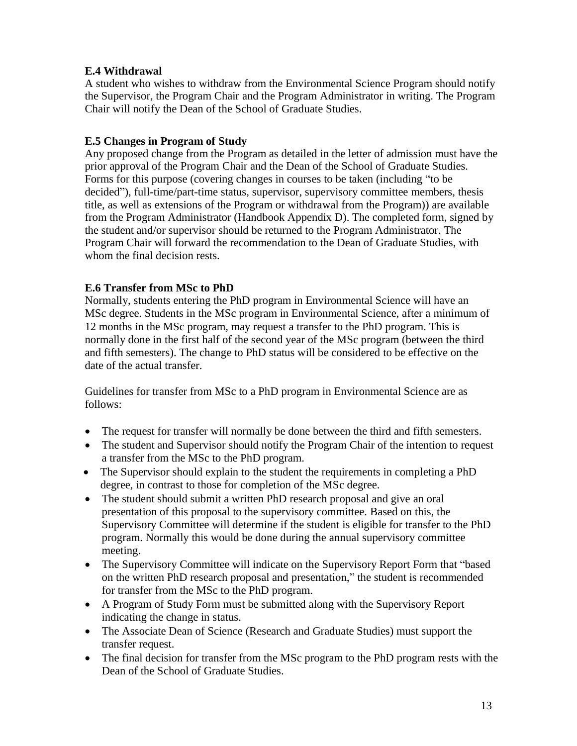## **E.4 Withdrawal**

A student who wishes to withdraw from the Environmental Science Program should notify the Supervisor, the Program Chair and the Program Administrator in writing. The Program Chair will notify the Dean of the School of Graduate Studies.

## **E.5 Changes in Program of Study**

Any proposed change from the Program as detailed in the letter of admission must have the prior approval of the Program Chair and the Dean of the School of Graduate Studies. Forms for this purpose (covering changes in courses to be taken (including "to be decided"), full-time/part-time status, supervisor, supervisory committee members, thesis title, as well as extensions of the Program or withdrawal from the Program)) are available from the Program Administrator (Handbook Appendix D). The completed form, signed by the student and/or supervisor should be returned to the Program Administrator. The Program Chair will forward the recommendation to the Dean of Graduate Studies, with whom the final decision rests.

## **E.6 Transfer from MSc to PhD**

Normally, students entering the PhD program in Environmental Science will have an MSc degree. Students in the MSc program in Environmental Science, after a minimum of 12 months in the MSc program, may request a transfer to the PhD program. This is normally done in the first half of the second year of the MSc program (between the third and fifth semesters). The change to PhD status will be considered to be effective on the date of the actual transfer.

Guidelines for transfer from MSc to a PhD program in Environmental Science are as follows:

- The request for transfer will normally be done between the third and fifth semesters.
- The student and Supervisor should notify the Program Chair of the intention to request a transfer from the MSc to the PhD program.
- The Supervisor should explain to the student the requirements in completing a PhD degree, in contrast to those for completion of the MSc degree.
- The student should submit a written PhD research proposal and give an oral presentation of this proposal to the supervisory committee. Based on this, the Supervisory Committee will determine if the student is eligible for transfer to the PhD program. Normally this would be done during the annual supervisory committee meeting.
- The Supervisory Committee will indicate on the Supervisory Report Form that "based" on the written PhD research proposal and presentation," the student is recommended for transfer from the MSc to the PhD program.
- A Program of Study Form must be submitted along with the Supervisory Report indicating the change in status.
- The Associate Dean of Science (Research and Graduate Studies) must support the transfer request.
- The final decision for transfer from the MSc program to the PhD program rests with the Dean of the School of Graduate Studies.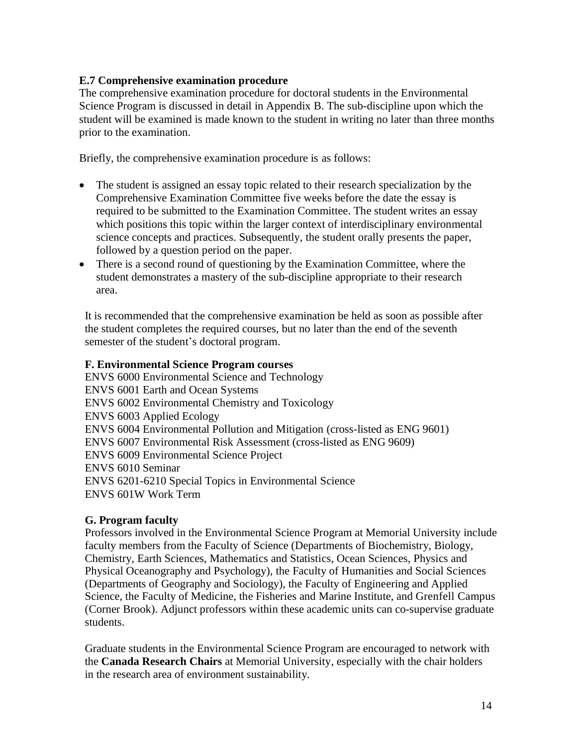### **E.7 Comprehensive examination procedure**

The comprehensive examination procedure for doctoral students in the Environmental Science Program is discussed in detail in Appendix B. The sub-discipline upon which the student will be examined is made known to the student in writing no later than three months prior to the examination.

Briefly, the comprehensive examination procedure is as follows:

- The student is assigned an essay topic related to their research specialization by the Comprehensive Examination Committee five weeks before the date the essay is required to be submitted to the Examination Committee. The student writes an essay which positions this topic within the larger context of interdisciplinary environmental science concepts and practices. Subsequently, the student orally presents the paper, followed by a question period on the paper.
- There is a second round of questioning by the Examination Committee, where the student demonstrates a mastery of the sub-discipline appropriate to their research area.

It is recommended that the comprehensive examination be held as soon as possible after the student completes the required courses, but no later than the end of the seventh semester of the student's doctoral program.

### **F. Environmental Science Program courses**

ENVS 6000 Environmental Science and Technology ENVS 6001 Earth and Ocean Systems ENVS 6002 Environmental Chemistry and Toxicology ENVS 6003 Applied Ecology ENVS 6004 Environmental Pollution and Mitigation (cross-listed as ENG 9601) ENVS 6007 Environmental Risk Assessment (cross-listed as ENG 9609) ENVS 6009 Environmental Science Project ENVS 6010 Seminar ENVS 6201-6210 Special Topics in Environmental Science ENVS 601W Work Term

### **G. Program faculty**

Professors involved in the Environmental Science Program at Memorial University include faculty members from the Faculty of Science (Departments of Biochemistry, Biology, Chemistry, Earth Sciences, Mathematics and Statistics, Ocean Sciences, Physics and Physical Oceanography and Psychology), the Faculty of Humanities and Social Sciences (Departments of Geography and Sociology), the Faculty of Engineering and Applied Science, the Faculty of Medicine, the Fisheries and Marine Institute, and Grenfell Campus (Corner Brook). Adjunct professors within these academic units can co-supervise graduate students.

Graduate students in the Environmental Science Program are encouraged to network with the **Canada Research Chairs** at Memorial University, especially with the chair holders in the research area of environment sustainability.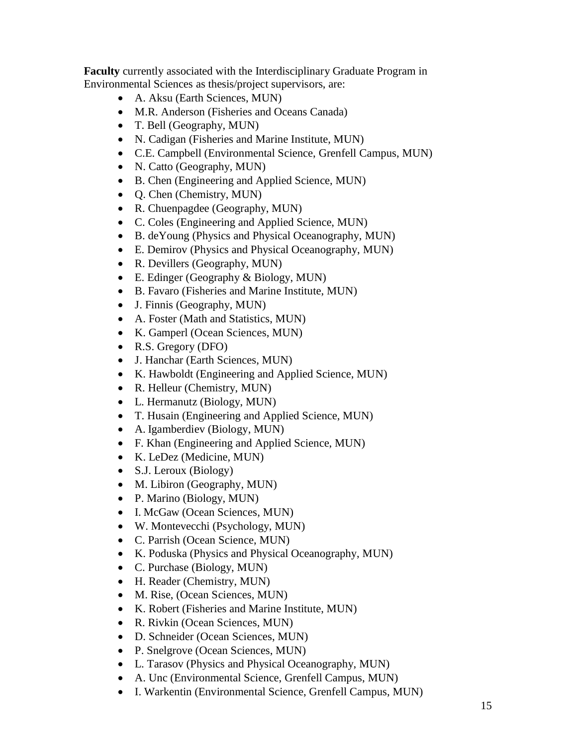**Faculty** currently associated with the Interdisciplinary Graduate Program in Environmental Sciences as thesis/project supervisors, are:

- A. Aksu (Earth Sciences, MUN)
- M.R. Anderson (Fisheries and Oceans Canada)
- T. Bell (Geography, MUN)
- N. Cadigan (Fisheries and Marine Institute, MUN)
- C.E. Campbell (Environmental Science, Grenfell Campus, MUN)
- N. Catto (Geography, MUN)
- B. Chen (Engineering and Applied Science, MUN)
- Q. Chen (Chemistry, MUN)
- R. Chuenpagdee (Geography, MUN)
- C. Coles (Engineering and Applied Science, MUN)
- B. deYoung (Physics and Physical Oceanography, MUN)
- E. Demirov (Physics and Physical Oceanography, MUN)
- R. Devillers (Geography, MUN)
- E. Edinger (Geography & Biology, MUN)
- B. Favaro (Fisheries and Marine Institute, MUN)
- J. Finnis (Geography, MUN)
- A. Foster (Math and Statistics, MUN)
- K. Gamperl (Ocean Sciences, MUN)
- R.S. Gregory (DFO)
- J. Hanchar (Earth Sciences, MUN)
- K. Hawboldt (Engineering and Applied Science, MUN)
- R. Helleur (Chemistry, MUN)
- L. Hermanutz (Biology, MUN)
- T. Husain (Engineering and Applied Science, MUN)
- A. Igamberdiev (Biology, MUN)
- F. Khan (Engineering and Applied Science, MUN)
- K. LeDez (Medicine, MUN)
- S.J. Leroux (Biology)
- M. Libiron (Geography, MUN)
- P. Marino (Biology, MUN)
- I. McGaw (Ocean Sciences, MUN)
- W. Montevecchi (Psychology, MUN)
- C. Parrish (Ocean Science, MUN)
- K. Poduska (Physics and Physical Oceanography, MUN)
- C. Purchase (Biology, MUN)
- H. Reader (Chemistry, MUN)
- M. Rise, (Ocean Sciences, MUN)
- K. Robert (Fisheries and Marine Institute, MUN)
- R. Rivkin (Ocean Sciences, MUN)
- D. Schneider (Ocean Sciences, MUN)
- P. Snelgrove (Ocean Sciences, MUN)
- L. Tarasov (Physics and Physical Oceanography, MUN)
- A. Unc (Environmental Science, Grenfell Campus, MUN)
- I. Warkentin (Environmental Science, Grenfell Campus, MUN)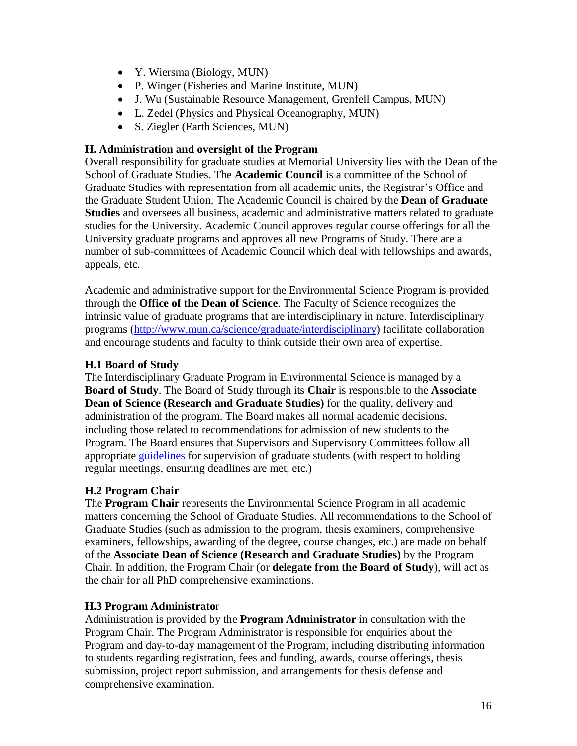- Y. Wiersma (Biology, MUN)
- P. Winger (Fisheries and Marine Institute, MUN)
- J. Wu (Sustainable Resource Management, Grenfell Campus, MUN)
- L. Zedel (Physics and Physical Oceanography, MUN)
- S. Ziegler (Earth Sciences, MUN)

## **H. Administration and oversight of the Program**

Overall responsibility for graduate studies at Memorial University lies with the Dean of the School of Graduate Studies. The **Academic Council** is a committee of the School of Graduate Studies with representation from all academic units, the Registrar's Office and the Graduate Student Union. The Academic Council is chaired by the **Dean of Graduate Studies** and oversees all business, academic and administrative matters related to graduate studies for the University. Academic Council approves regular course offerings for all the University graduate programs and approves all new Programs of Study. There are a number of sub-committees of Academic Council which deal with fellowships and awards, appeals, etc.

Academic and administrative support for the Environmental Science Program is provided through the **Office of the Dean of Science**. The Faculty of Science recognizes the intrinsic value of graduate programs that are interdisciplinary in nature. Interdisciplinary programs [\(http://www.mun.ca/science/graduate/interdisciplinary\)](http://www.mun.ca/science/graduate/interdisciplinary) facilitate collaboration and encourage students and faculty to think outside their own area of expertise.

# **H.1 Board of Study**

The Interdisciplinary Graduate Program in Environmental Science is managed by a **Board of Study**. The Board of Study through its **Chair** is responsible to the **Associate Dean of Science (Research and Graduate Studies)** for the quality, delivery and administration of the program. The Board makes all normal academic decisions, including those related to recommendations for admission of new students to the Program. The Board ensures that Supervisors and Supervisory Committees follow all appropriate [guidelines](https://www.mun.ca/sgs/responsibilities.pdf) for supervision of graduate students (with respect to holding regular meetings, ensuring deadlines are met, etc.)

# **H.2 Program Chair**

The **Program Chair** represents the Environmental Science Program in all academic matters concerning the School of Graduate Studies. All recommendations to the School of Graduate Studies (such as admission to the program, thesis examiners, comprehensive examiners, fellowships, awarding of the degree, course changes, etc.) are made on behalf of the **Associate Dean of Science (Research and Graduate Studies)** by the Program Chair. In addition, the Program Chair (or **delegate from the Board of Study**), will act as the chair for all PhD comprehensive examinations.

# **H.3 Program Administrato**r

Administration is provided by the **Program Administrator** in consultation with the Program Chair. The Program Administrator is responsible for enquiries about the Program and day-to-day management of the Program, including distributing information to students regarding registration, fees and funding, awards, course offerings, thesis submission, project report submission, and arrangements for thesis defense and comprehensive examination.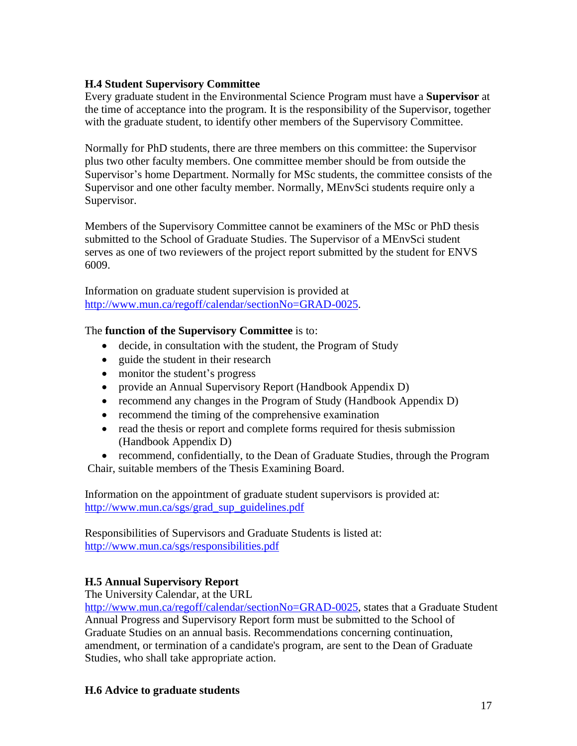## **H.4 Student Supervisory Committee**

Every graduate student in the Environmental Science Program must have a **Supervisor** at the time of acceptance into the program. It is the responsibility of the Supervisor, together with the graduate student, to identify other members of the Supervisory Committee.

Normally for PhD students, there are three members on this committee: the Supervisor plus two other faculty members. One committee member should be from outside the Supervisor's home Department. Normally for MSc students, the committee consists of the Supervisor and one other faculty member. Normally, MEnvSci students require only a Supervisor.

Members of the Supervisory Committee cannot be examiners of the MSc or PhD thesis submitted to the School of Graduate Studies. The Supervisor of a MEnvSci student serves as one of two reviewers of the project report submitted by the student for ENVS 6009.

Information on graduate student supervision is provided at [http://www.mun.ca/regoff/calendar/sectionNo=GRAD-0025.](http://www.mun.ca/regoff/calendar/sectionNo=GRAD-0025)

### The **function of the Supervisory Committee** is to:

- decide, in consultation with the student, the Program of Study
- guide the student in their research
- monitor the student's progress
- provide an Annual Supervisory Report (Handbook Appendix D)
- recommend any changes in the Program of Study (Handbook Appendix D)
- recommend the timing of the comprehensive examination
- read the thesis or report and complete forms required for thesis submission (Handbook Appendix D)

• recommend, confidentially, to the Dean of Graduate Studies, through the Program Chair, suitable members of the Thesis Examining Board.

Information on the appointment of graduate student supervisors is provided at: [http://www.mun.ca/sgs/grad\\_sup\\_guidelines.pdf](http://www.mun.ca/sgs/grad_sup_guidelines.pdf)

Responsibilities of Supervisors and Graduate Students is listed at: <http://www.mun.ca/sgs/responsibilities.pdf>

# **H.5 Annual Supervisory Report**

The University Calendar, at the URL

[http://www.mun.ca/regoff/calendar/sectionNo=GRAD-0025,](http://www.mun.ca/regoff/calendar/sectionNo=GRAD-0025) states that a Graduate Student Annual Progress and Supervisory Report form must be submitted to the School of Graduate Studies on an annual basis. Recommendations concerning continuation, amendment, or termination of a candidate's program, are sent to the Dean of Graduate Studies, who shall take appropriate action.

### **H.6 Advice to graduate students**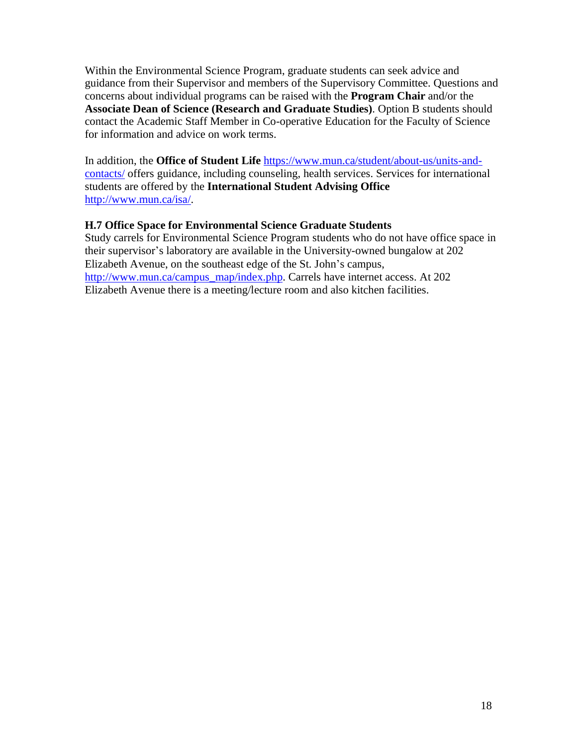Within the Environmental Science Program, graduate students can seek advice and guidance from their Supervisor and members of the Supervisory Committee. Questions and concerns about individual programs can be raised with the **Program Chair** and/or the **Associate Dean of Science (Research and Graduate Studies)**. Option B students should contact the Academic Staff Member in Co-operative Education for the Faculty of Science for information and advice on work terms.

In addition, the **Office of Student Life** [https://www.mun.ca/student/about-us/units-and](https://www.mun.ca/student/about-us/units-and-contacts/)[contacts/](https://www.mun.ca/student/about-us/units-and-contacts/) offers guidance, including counseling, health services. Services for international students are offered by the **International Student Advising Office** [http://www.mun.ca/isa/.](http://www.mun.ca/isa/)

### **H.7 Office Space for Environmental Science Graduate Students**

Study carrels for Environmental Science Program students who do not have office space in their supervisor's laboratory are available in the University-owned bungalow at 202 Elizabeth Avenue, on the southeast edge of the St. John's campus, [http://www.mun.ca/campus\\_map/index.php.](http://www.mun.ca/campus_map/index.php) Carrels have internet access. At 202 Elizabeth Avenue there is a meeting/lecture room and also kitchen facilities.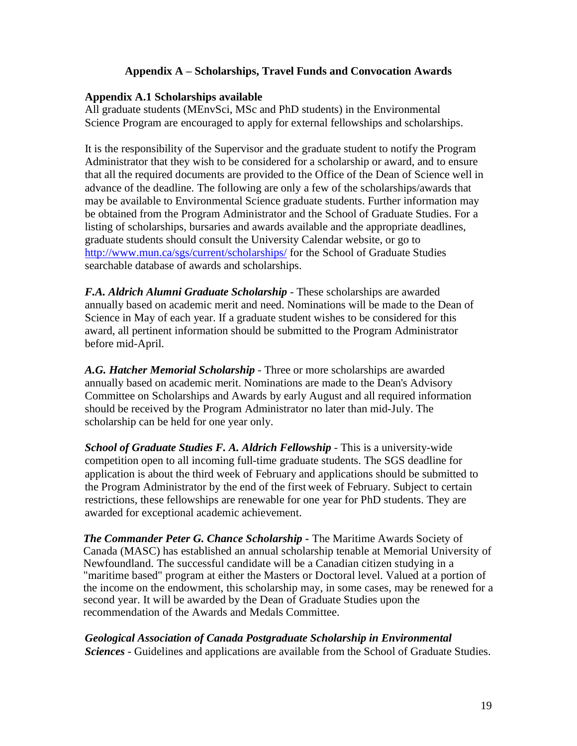### **Appendix A – Scholarships, Travel Funds and Convocation Awards**

#### **Appendix A.1 Scholarships available**

All graduate students (MEnvSci, MSc and PhD students) in the Environmental Science Program are encouraged to apply for external fellowships and scholarships.

It is the responsibility of the Supervisor and the graduate student to notify the Program Administrator that they wish to be considered for a scholarship or award, and to ensure that all the required documents are provided to the Office of the Dean of Science well in advance of the deadline. The following are only a few of the scholarships/awards that may be available to Environmental Science graduate students. Further information may be obtained from the Program Administrator and the School of Graduate Studies. For a listing of scholarships, bursaries and awards available and the appropriate deadlines, graduate students should consult the University Calendar website, or go to <http://www.mun.ca/sgs/current/scholarships/> for the School of Graduate Studies searchable database of awards and scholarships.

*F.A. Aldrich Alumni Graduate Scholarship* - These scholarships are awarded annually based on academic merit and need. Nominations will be made to the Dean of Science in May of each year. If a graduate student wishes to be considered for this award, all pertinent information should be submitted to the Program Administrator before mid-April.

*A.G. Hatcher Memorial Scholarship* - Three or more scholarships are awarded annually based on academic merit. Nominations are made to the Dean's Advisory Committee on Scholarships and Awards by early August and all required information should be received by the Program Administrator no later than mid-July. The scholarship can be held for one year only.

*School of Graduate Studies F. A. Aldrich Fellowship* - This is a university-wide competition open to all incoming full-time graduate students. The SGS deadline for application is about the third week of February and applications should be submitted to the Program Administrator by the end of the first week of February. Subject to certain restrictions, these fellowships are renewable for one year for PhD students. They are awarded for exceptional academic achievement.

*The Commander Peter G. Chance Scholarship -* The Maritime Awards Society of Canada (MASC) has established an annual scholarship tenable at Memorial University of Newfoundland. The successful candidate will be a Canadian citizen studying in a "maritime based" program at either the Masters or Doctoral level. Valued at a portion of the income on the endowment, this scholarship may, in some cases, may be renewed for a second year. It will be awarded by the Dean of Graduate Studies upon the recommendation of the Awards and Medals Committee.

*Geological Association of Canada Postgraduate Scholarship in Environmental Sciences* - Guidelines and applications are available from the School of Graduate Studies.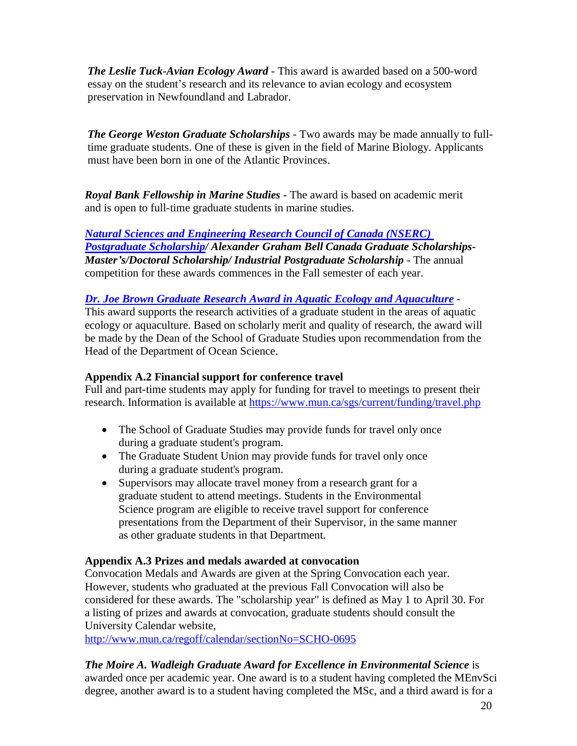*The Leslie Tuck-Avian Ecology Award* - This award is awarded based on a 500-word essay on the student's research and its relevance to avian ecology and ecosystem preservation in Newfoundland and Labrador.

*The George Weston Graduate Scholarships* - Two awards may be made annually to fulltime graduate students. One of these is given in the field of Marine Biology. Applicants must have been born in one of the Atlantic Provinces.

*Royal Bank Fellowship in Marine Studies* - The award is based on academic merit and is open to full-time graduate students in marine studies.

*[Natural Sciences and Engineering Research Council of Canada \(NSERC\)](https://www.canada.ca/en/science-engineering-research.html) [Postgraduate Scholarship/](https://www.canada.ca/en/science-engineering-research.html) Alexander Graham Bell Canada Graduate Scholarships-Master's/Doctoral Scholarship/ Industrial Postgraduate Scholarship* - The annual competition for these awards commences in the Fall semester of each year.

### *Dr. Joe Brown Graduate [Research Award in Aquatic](https://www.mun.ca/osc/graduate-program/Joe_Brown_Award.php) Ecology and Aquaculture -*

This award supports the research activities of a graduate student in the areas of aquatic ecology or aquaculture. Based on scholarly merit and quality of research, the award will be made by the Dean of the School of Graduate Studies upon recommendation from the Head of the Department of Ocean Science.

#### **Appendix A.2 Financial support for conference travel**

Full and part-time students may apply for funding for travel to meetings to present their research. Information is available at [https://www.mun.ca/sgs/current/funding/travel.php](https://www.mun.ca/student/about-us/units-and-contacts/)

- The School of Graduate Studies may provide funds for travel only once during a graduate student's program.
- The Graduate Student Union may provide funds for travel only once during a graduate student's program.
- Supervisors may allocate travel money from a research grant for a graduate student to attend meetings. Students in the Environmental Science program are eligible to receive travel support for conference presentations from the Department of their Supervisor, in the same manner as other graduate students in that Department.

#### **Appendix A.3 Prizes and medals awarded at convocation**

Convocation Medals and Awards are given at the Spring Convocation each year. However, students who graduated at the previous Fall Convocation will also be considered for these awards. The "scholarship year" is defined as May 1 to April 30. For a listing of prizes and awards at convocation, graduate students should consult the University Calendar website,

[http://www.mun.ca/regoff/calendar/sectionNo=SCHO-0695](http://www.mun.ca/regoff/calendar/sectionNo%3DSCHO-0695)

#### *The Moire A. Wadleigh Graduate Award for Excellence in Environmental Science* is awarded once per academic year. One award is to a student having completed the MEnvSci degree, another award is to a student having completed the MSc, and a third award is for a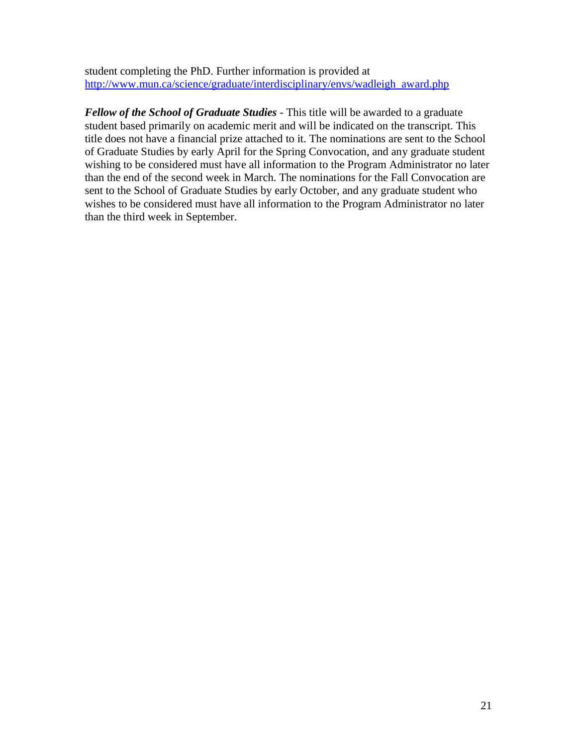student completing the PhD. Further information is provided at [http://www.mun.ca/science/graduate/interdisciplinary/envs/wadleigh\\_award.php](http://www.mun.ca/science/graduate/interdisciplinary/envs/wadleigh_award.php)

*Fellow of the School of Graduate Studies* - This title will be awarded to a graduate student based primarily on academic merit and will be indicated on the transcript. This title does not have a financial prize attached to it. The nominations are sent to the School of Graduate Studies by early April for the Spring Convocation, and any graduate student wishing to be considered must have all information to the Program Administrator no later than the end of the second week in March. The nominations for the Fall Convocation are sent to the School of Graduate Studies by early October, and any graduate student who wishes to be considered must have all information to the Program Administrator no later than the third week in September.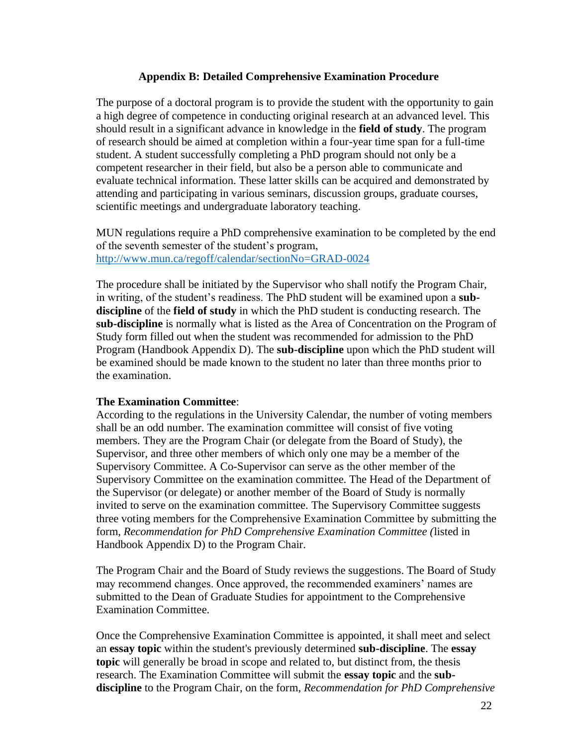#### **Appendix B: Detailed Comprehensive Examination Procedure**

The purpose of a doctoral program is to provide the student with the opportunity to gain a high degree of competence in conducting original research at an advanced level. This should result in a significant advance in knowledge in the **field of study**. The program of research should be aimed at completion within a four-year time span for a full-time student. A student successfully completing a PhD program should not only be a competent researcher in their field, but also be a person able to communicate and evaluate technical information. These latter skills can be acquired and demonstrated by attending and participating in various seminars, discussion groups, graduate courses, scientific meetings and undergraduate laboratory teaching.

MUN regulations require a PhD comprehensive examination to be completed by the end of the seventh semester of the student's program, <http://www.mun.ca/regoff/calendar/sectionNo=GRAD-0024>

The procedure shall be initiated by the Supervisor who shall notify the Program Chair, in writing, of the student's readiness. The PhD student will be examined upon a **subdiscipline** of the **field of study** in which the PhD student is conducting research. The **sub-discipline** is normally what is listed as the Area of Concentration on the Program of Study form filled out when the student was recommended for admission to the PhD Program (Handbook Appendix D). The **sub-discipline** upon which the PhD student will be examined should be made known to the student no later than three months prior to the examination.

#### **The Examination Committee**:

According to the regulations in the University Calendar, the number of voting members shall be an odd number. The examination committee will consist of five voting members. They are the Program Chair (or delegate from the Board of Study), the Supervisor, and three other members of which only one may be a member of the Supervisory Committee. A Co-Supervisor can serve as the other member of the Supervisory Committee on the examination committee. The Head of the Department of the Supervisor (or delegate) or another member of the Board of Study is normally invited to serve on the examination committee. The Supervisory Committee suggests three voting members for the Comprehensive Examination Committee by submitting the form, *Recommendation for PhD Comprehensive Examination Committee (*listed in Handbook Appendix D) to the Program Chair.

The Program Chair and the Board of Study reviews the suggestions. The Board of Study may recommend changes. Once approved, the recommended examiners' names are submitted to the Dean of Graduate Studies for appointment to the Comprehensive Examination Committee.

Once the Comprehensive Examination Committee is appointed, it shall meet and select an **essay topic** within the student's previously determined **sub-discipline**. The **essay topic** will generally be broad in scope and related to, but distinct from, the thesis research. The Examination Committee will submit the **essay topic** and the **subdiscipline** to the Program Chair, on the form, *Recommendation for PhD Comprehensive*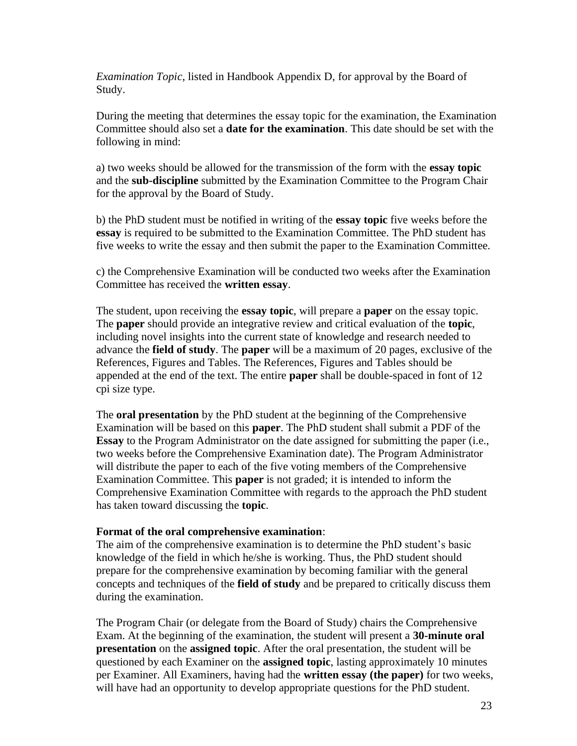*Examination Topic*, listed in Handbook Appendix D, for approval by the Board of Study.

During the meeting that determines the essay topic for the examination, the Examination Committee should also set a **date for the examination**. This date should be set with the following in mind:

a) two weeks should be allowed for the transmission of the form with the **essay topic** and the **sub-discipline** submitted by the Examination Committee to the Program Chair for the approval by the Board of Study.

b) the PhD student must be notified in writing of the **essay topic** five weeks before the **essay** is required to be submitted to the Examination Committee. The PhD student has five weeks to write the essay and then submit the paper to the Examination Committee.

c) the Comprehensive Examination will be conducted two weeks after the Examination Committee has received the **written essay**.

The student, upon receiving the **essay topic**, will prepare a **paper** on the essay topic. The **paper** should provide an integrative review and critical evaluation of the **topic**, including novel insights into the current state of knowledge and research needed to advance the **field of study**. The **paper** will be a maximum of 20 pages, exclusive of the References, Figures and Tables. The References, Figures and Tables should be appended at the end of the text. The entire **paper** shall be double-spaced in font of 12 cpi size type.

The **oral presentation** by the PhD student at the beginning of the Comprehensive Examination will be based on this **paper**. The PhD student shall submit a PDF of the **Essay** to the Program Administrator on the date assigned for submitting the paper (i.e., two weeks before the Comprehensive Examination date). The Program Administrator will distribute the paper to each of the five voting members of the Comprehensive Examination Committee. This **paper** is not graded; it is intended to inform the Comprehensive Examination Committee with regards to the approach the PhD student has taken toward discussing the **topic**.

#### **Format of the oral comprehensive examination**:

The aim of the comprehensive examination is to determine the PhD student's basic knowledge of the field in which he/she is working. Thus, the PhD student should prepare for the comprehensive examination by becoming familiar with the general concepts and techniques of the **field of study** and be prepared to critically discuss them during the examination.

The Program Chair (or delegate from the Board of Study) chairs the Comprehensive Exam. At the beginning of the examination, the student will present a **30-minute oral presentation** on the **assigned topic**. After the oral presentation, the student will be questioned by each Examiner on the **assigned topic**, lasting approximately 10 minutes per Examiner. All Examiners, having had the **written essay (the paper)** for two weeks, will have had an opportunity to develop appropriate questions for the PhD student.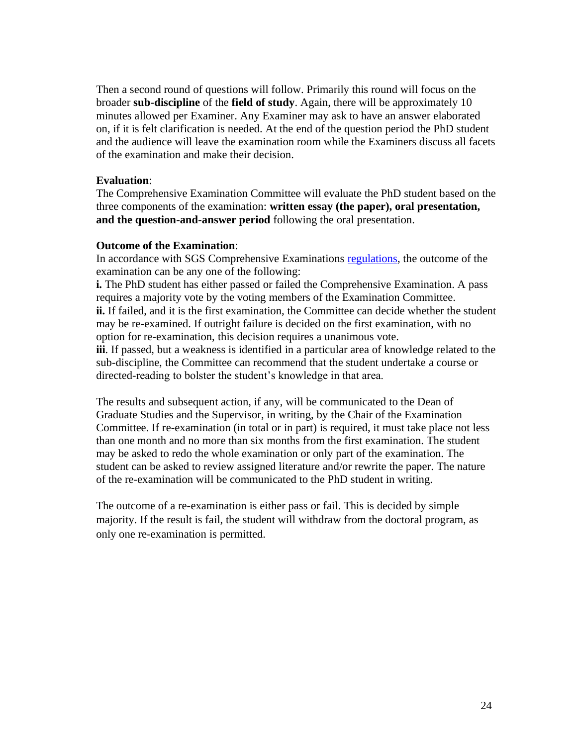Then a second round of questions will follow. Primarily this round will focus on the broader **sub-discipline** of the **field of study**. Again, there will be approximately 10 minutes allowed per Examiner. Any Examiner may ask to have an answer elaborated on, if it is felt clarification is needed. At the end of the question period the PhD student and the audience will leave the examination room while the Examiners discuss all facets of the examination and make their decision.

#### **Evaluation**:

The Comprehensive Examination Committee will evaluate the PhD student based on the three components of the examination: **written essay (the paper), oral presentation, and the question-and-answer period** following the oral presentation.

#### **Outcome of the Examination**:

In accordance with SGS Comprehensive Examinations [regulations,](https://www.mun.ca/regoff/calendar/sectionNo=GRAD-0024) the outcome of the examination can be any one of the following:

**i.** The PhD student has either passed or failed the Comprehensive Examination. A pass requires a majority vote by the voting members of the Examination Committee. **ii.** If failed, and it is the first examination, the Committee can decide whether the student may be re-examined. If outright failure is decided on the first examination, with no option for re-examination, this decision requires a unanimous vote.

**iii**. If passed, but a weakness is identified in a particular area of knowledge related to the sub-discipline, the Committee can recommend that the student undertake a course or directed-reading to bolster the student's knowledge in that area.

The results and subsequent action, if any, will be communicated to the Dean of Graduate Studies and the Supervisor, in writing, by the Chair of the Examination Committee. If re-examination (in total or in part) is required, it must take place not less than one month and no more than six months from the first examination. The student may be asked to redo the whole examination or only part of the examination. The student can be asked to review assigned literature and/or rewrite the paper. The nature of the re-examination will be communicated to the PhD student in writing.

The outcome of a re-examination is either pass or fail. This is decided by simple majority. If the result is fail, the student will withdraw from the doctoral program, as only one re-examination is permitted.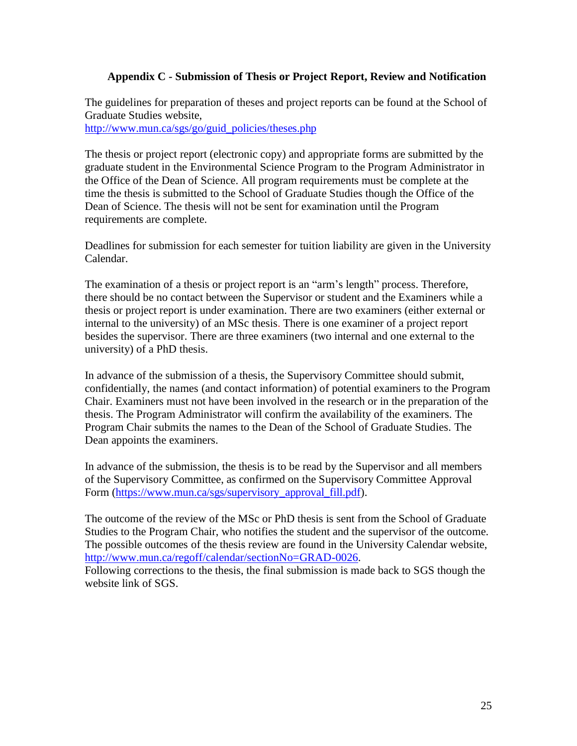#### **Appendix C - Submission of Thesis or Project Report, Review and Notification**

The guidelines for preparation of theses and project reports can be found at the School of Graduate Studies website,

[http://www.mun.ca/sgs/go/guid\\_policies/theses.php](http://www.mun.ca/sgs/go/guid_policies/theses.php)

The thesis or project report (electronic copy) and appropriate forms are submitted by the graduate student in the Environmental Science Program to the Program Administrator in the Office of the Dean of Science. All program requirements must be complete at the time the thesis is submitted to the School of Graduate Studies though the Office of the Dean of Science. The thesis will not be sent for examination until the Program requirements are complete.

Deadlines for submission for each semester for tuition liability are given in the University Calendar.

The examination of a thesis or project report is an "arm's length" process. Therefore, there should be no contact between the Supervisor or student and the Examiners while a thesis or project report is under examination. There are two examiners (either external or internal to the university) of an MSc thesis. There is one examiner of a project report besides the supervisor. There are three examiners (two internal and one external to the university) of a PhD thesis.

In advance of the submission of a thesis, the Supervisory Committee should submit, confidentially, the names (and contact information) of potential examiners to the Program Chair. Examiners must not have been involved in the research or in the preparation of the thesis. The Program Administrator will confirm the availability of the examiners. The Program Chair submits the names to the Dean of the School of Graduate Studies. The Dean appoints the examiners.

In advance of the submission, the thesis is to be read by the Supervisor and all members of the Supervisory Committee, as confirmed on the Supervisory Committee Approval Form [\(https://www.mun.ca/sgs/supervisory\\_approval\\_fill.pdf\)](https://www.mun.ca/sgs/supervisory_approval_fill.pdf).

The outcome of the review of the MSc or PhD thesis is sent from the School of Graduate Studies to the Program Chair, who notifies the student and the supervisor of the outcome. The possible outcomes of the thesis review are found in the University Calendar website, [http://www.mun.ca/regoff/calendar/sectionNo=GRAD-0026.](http://www.mun.ca/regoff/calendar/sectionNo=GRAD-0026)

Following corrections to the thesis, the final submission is made back to SGS though the website link of SGS.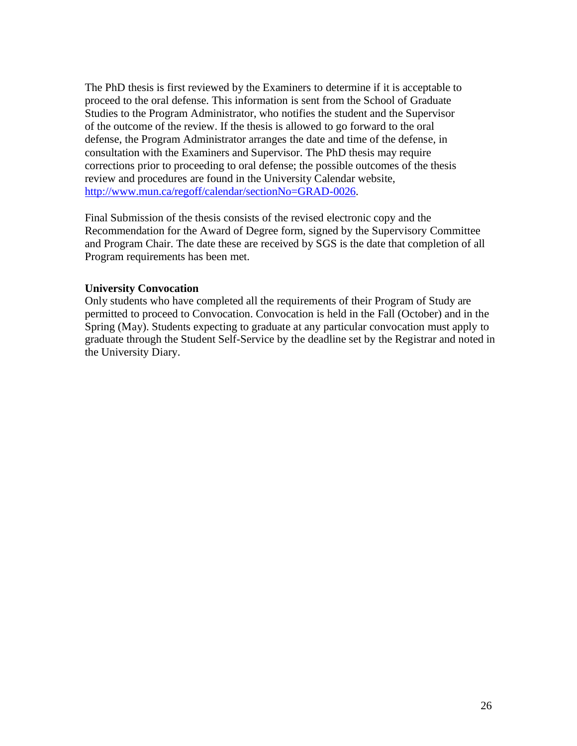The PhD thesis is first reviewed by the Examiners to determine if it is acceptable to proceed to the oral defense. This information is sent from the School of Graduate Studies to the Program Administrator, who notifies the student and the Supervisor of the outcome of the review. If the thesis is allowed to go forward to the oral defense, the Program Administrator arranges the date and time of the defense, in consultation with the Examiners and Supervisor. The PhD thesis may require corrections prior to proceeding to oral defense; the possible outcomes of the thesis review and procedures are found in the University Calendar website, [http://www.mun.ca/regoff/calendar/sectionNo=GRAD-0026.](http://www.mun.ca/regoff/calendar/sectionNo=GRAD-0026)

Final Submission of the thesis consists of the revised electronic copy and the Recommendation for the Award of Degree form, signed by the Supervisory Committee and Program Chair. The date these are received by SGS is the date that completion of all Program requirements has been met.

#### **University Convocation**

Only students who have completed all the requirements of their Program of Study are permitted to proceed to Convocation. Convocation is held in the Fall (October) and in the Spring (May). Students expecting to graduate at any particular convocation must apply to graduate through the Student Self-Service by the deadline set by the Registrar and noted in the University Diary.